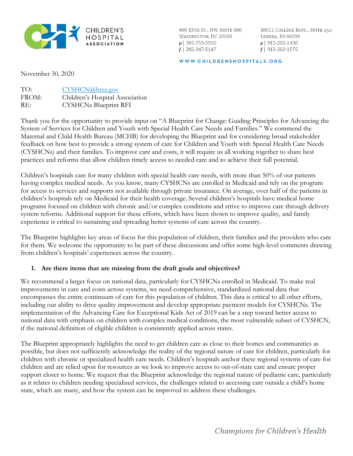

600 13TH ST., NW, SUITE 500 WASHINGTON, DC 20005  $p$ | 202-753-5500  $f$  | 202-347-5147

16011 COLLEGE BLVD., SUITE 250 LENEXA, KS 66219  $p$ | 913-262-1436  $f$ | 913-262-1575

WWW.CHILDRENSHOSPITALS.ORG

November 30, 2020

| TO:   | CYSHCN@hrsa.gov                 |
|-------|---------------------------------|
| FROM: | Children's Hospital Association |
| RE:   | <b>CYSHCNs Blueprint RFI</b>    |

Thank you for the opportunity to provide input on "A Blueprint for Change: Guiding Principles for Advancing the System of Services for Children and Youth with Special Health Care Needs and Families." We commend the Maternal and Child Health Bureau (MCHB) for developing the Blueprint and for considering broad stakeholder feedback on how best to provide a strong system of care for Children and Youth with Special Health Care Needs (CYSHCNs) and their families. To improve care and costs, it will require us all working together to share best practices and reforms that allow children timely access to needed care and to achieve their full potential.

Children's hospitals care for many children with special health care needs, with more than 50% of our patients having complex medical needs. As you know, many CYSHCNs are enrolled in Medicaid and rely on the program for access to services and supports not available through private insurance. On average, over half of the patients in children's hospitals rely on Medicaid for their health coverage. Several children's hospitals have medical home programs focused on children with chronic and/or complex conditions and strive to improve care through delivery system reforms. Additional support for these efforts, which have been shown to improve quality, and family experience is critical to sustaining and spreading better systems of care across the country.

The Blueprint highlights key areas of focus for this population of children, their families and the providers who care for them. We welcome the opportunity to be part of these discussions and offer some high-level comments drawing from children's hospitals' experiences across the country.

## **1. Are there items that are missing from the draft goals and objectives?**

We recommend a larger focus on national data, particularly for CYSHCNs enrolled in Medicaid. To make real improvements in care and costs across systems, we need comprehensive, standardized national data that encompasses the entire continuum of care for this population of children. This data is critical to all other efforts, including our ability to drive quality improvement and develop appropriate payment models for CYSHCNs. The implementation of the Advancing Care for Exceptional Kids Act of 2019 can be a step toward better access to national data with emphasis on children with complex medical conditions, the most vulnerable subset of CYSHCN, if the national definition of eligible children is consistently applied across states.

The Blueprint appropriately highlights the need to get children care as close to their homes and communities as possible, but does not sufficiently acknowledge the reality of the regional nature of care for children, particularly for children with chronic or specialized health care needs. Children's hospitals anchor these regional systems of care for children and are relied upon for resources as we look to improve access to out-of-state care and ensure proper support closer to home. We request that the Blueprint acknowledge the regional nature of pediatric care, particularly as it relates to children needing specialized services, the challenges related to accessing care outside a child's home state, which are many, and how the system can be improved to address these challenges.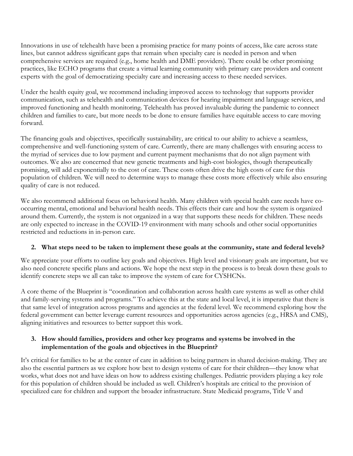Innovations in use of telehealth have been a promising practice for many points of access, like care across state lines, but cannot address significant gaps that remain when specialty care is needed in person and when comprehensive services are required (e.g., home health and DME providers). There could be other promising practices, like ECHO programs that create a virtual learning community with primary care providers and content experts with the goal of democratizing specialty care and increasing access to these needed services.

Under the health equity goal, we recommend including improved access to technology that supports provider communication, such as telehealth and communication devices for hearing impairment and language services, and improved functioning and health monitoring. Telehealth has proved invaluable during the pandemic to connect children and families to care, but more needs to be done to ensure families have equitable access to care moving forward.

The financing goals and objectives, specifically sustainability, are critical to our ability to achieve a seamless, comprehensive and well-functioning system of care. Currently, there are many challenges with ensuring access to the myriad of services due to low payment and current payment mechanisms that do not align payment with outcomes. We also are concerned that new genetic treatments and high-cost biologics, though therapeutically promising, will add exponentially to the cost of care. These costs often drive the high costs of care for this population of children. We will need to determine ways to manage these costs more effectively while also ensuring quality of care is not reduced.

We also recommend additional focus on behavioral health. Many children with special health care needs have cooccurring mental, emotional and behavioral health needs. This effects their care and how the system is organized around them. Currently, the system is not organized in a way that supports these needs for children. These needs are only expected to increase in the COVID-19 environment with many schools and other social opportunities restricted and reductions in in-person care.

## **2. What steps need to be taken to implement these goals at the community, state and federal levels?**

We appreciate your efforts to outline key goals and objectives. High level and visionary goals are important, but we also need concrete specific plans and actions. We hope the next step in the process is to break down these goals to identify concrete steps we all can take to improve the system of care for CYSHCNs.

A core theme of the Blueprint is "coordination and collaboration across health care systems as well as other child and family-serving systems and programs." To achieve this at the state and local level, it is imperative that there is that same level of integration across programs and agencies at the federal level. We recommend exploring how the federal government can better leverage current resources and opportunities across agencies (e.g., HRSA and CMS), aligning initiatives and resources to better support this work.

## **3. How should families, providers and other key programs and systems be involved in the implementation of the goals and objectives in the Blueprint?**

It's critical for families to be at the center of care in addition to being partners in shared decision-making. They are also the essential partners as we explore how best to design systems of care for their children—they know what works, what does not and have ideas on how to address existing challenges. Pediatric providers playing a key role for this population of children should be included as well. Children's hospitals are critical to the provision of specialized care for children and support the broader infrastructure. State Medicaid programs, Title V and